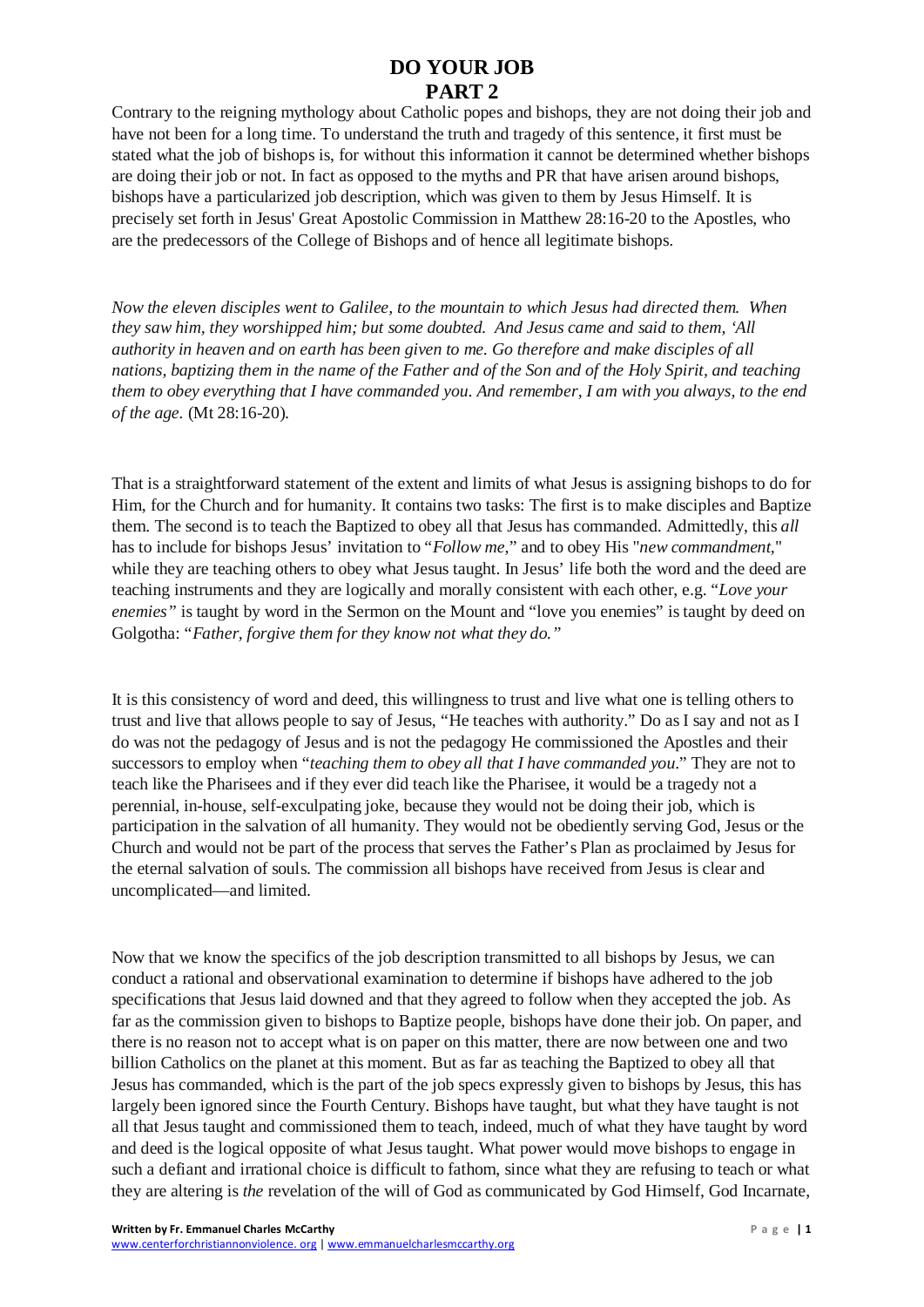## **DO YOUR JOB PART 2**

Contrary to the reigning mythology about Catholic popes and bishops, they are not doing their job and have not been for a long time. To understand the truth and tragedy of this sentence, it first must be stated what the job of bishops is, for without this information it cannot be determined whether bishops are doing their job or not. In fact as opposed to the myths and PR that have arisen around bishops, bishops have a particularized job description, which was given to them by Jesus Himself. It is precisely set forth in Jesus' Great Apostolic Commission in Matthew 28:16-20 to the Apostles, who are the predecessors of the College of Bishops and of hence all legitimate bishops.

*Now the eleven disciples went to Galilee, to the mountain to which Jesus had directed them. When they saw him, they worshipped him; but some doubted. And Jesus came and said to them, 'All authority in heaven and on earth has been given to me. Go therefore and make disciples of all nations, baptizing them in the name of the Father and of the Son and of the Holy Spirit, and teaching them to obey everything that I have commanded you. And remember, I am with you always, to the end of the age.* (Mt 28:16-20).

That is a straightforward statement of the extent and limits of what Jesus is assigning bishops to do for Him, for the Church and for humanity. It contains two tasks: The first is to make disciples and Baptize them. The second is to teach the Baptized to obey all that Jesus has commanded. Admittedly, this *all* has to include for bishops Jesus' invitation to "*Follow me*," and to obey His "*new commandment,*" while they are teaching others to obey what Jesus taught. In Jesus' life both the word and the deed are teaching instruments and they are logically and morally consistent with each other, e.g. "*Love your enemies"* is taught by word in the Sermon on the Mount and "love you enemies" istaught by deed on Golgotha: "*Father, forgive them for they know not what they do."*

It is this consistency of word and deed, this willingness to trust and live what one is telling others to trust and live that allows people to say of Jesus, "He teaches with authority." Do as I say and not as I do was not the pedagogy of Jesus and is not the pedagogy He commissioned the Apostles and their successors to employ when "*teaching them to obey all that I have commanded you*." They are not to teach like the Pharisees and if they ever did teach like the Pharisee, it would be a tragedy not a perennial, in-house, self-exculpating joke, because they would not be doing their job, which is participation in the salvation of all humanity. They would not be obediently serving God, Jesus or the Church and would not be part of the process that serves the Father's Plan as proclaimed by Jesus for the eternal salvation of souls. The commission all bishops have received from Jesus is clear and uncomplicated—and limited.

Now that we know the specifics of the job description transmitted to all bishops by Jesus, we can conduct a rational and observational examination to determine if bishops have adhered to the job specifications that Jesus laid downed and that they agreed to follow when they accepted the job. As far as the commission given to bishops to Baptize people, bishops have done their job. On paper, and there is no reason not to accept what is on paper on this matter, there are now between one and two billion Catholics on the planet at this moment. But as far as teaching the Baptized to obey all that Jesus has commanded, which is the part of the job specs expressly given to bishops by Jesus, this has largely been ignored since the Fourth Century. Bishops have taught, but what they have taught is not all that Jesus taught and commissioned them to teach, indeed, much of what they have taught by word and deed is the logical opposite of what Jesus taught. What power would move bishops to engage in such a defiant and irrational choice is difficult to fathom, since what they are refusing to teach or what they are altering is *the* revelation of the will of God as communicated by God Himself, God Incarnate,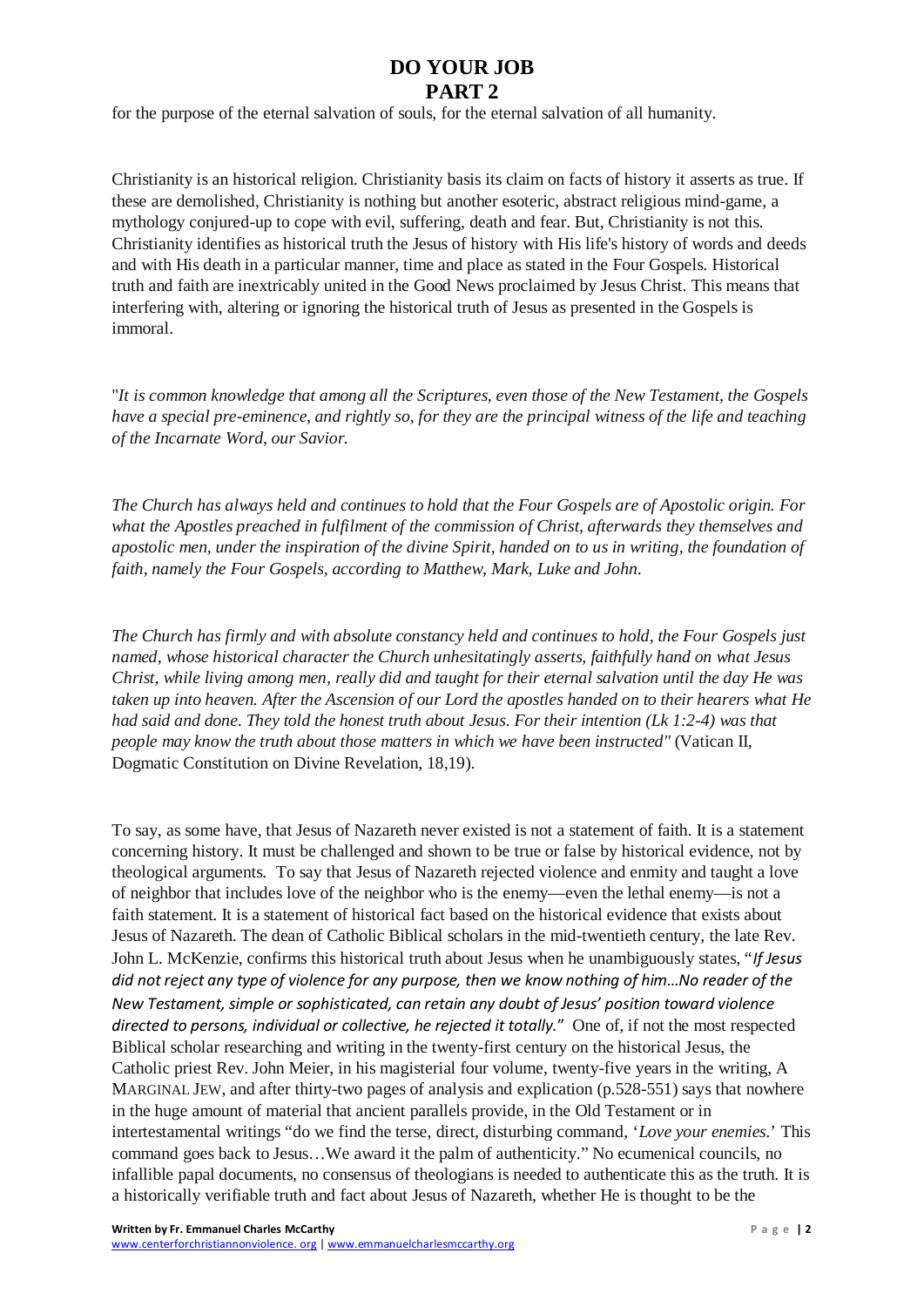## **DO YOUR JOB PART 2**

for the purpose of the eternal salvation of souls, for the eternal salvation of all humanity.

Christianity is an historical religion. Christianity basis its claim on facts of history it asserts as true. If these are demolished, Christianity is nothing but another esoteric, abstract religious mind-game, a mythology conjured-up to cope with evil, suffering, death and fear. But, Christianity is not this. Christianity identifies as historical truth the Jesus of history with His life's history of words and deeds and with His death in a particular manner, time and place as stated in the Four Gospels. Historical truth and faith are inextricably united in the Good News proclaimed by Jesus Christ. This means that interfering with, altering or ignoring the historical truth of Jesus as presented in the Gospels is immoral.

"*It is common knowledge that among all the Scriptures, even those of the New Testament, the Gospels have a special pre-eminence, and rightly so, for they are the principal witness of the life and teaching of the Incarnate Word, our Savior.*

*The Church has always held and continues to hold that the Four Gospels are of Apostolic origin. For what the Apostles preached in fulfilment of the commission of Christ, afterwards they themselves and apostolic men, under the inspiration of the divine Spirit, handed on to us in writing, the foundation of faith, namely the Four Gospels, according to Matthew, Mark, Luke and John.*

*The Church has firmly and with absolute constancy held and continues to hold, the Four Gospels just named, whose historical character the Church unhesitatingly asserts, faithfully hand on what Jesus Christ, while living among men, really did and taught for their eternal salvation until the day He was taken up into heaven. After the Ascension of our Lord the apostles handed on to their hearers what He had said and done. They told the honest truth about Jesus. For their intention (Lk 1:2-4) was that people may know the truth about those matters in which we have been instructed"* (Vatican II, Dogmatic Constitution on Divine Revelation, 18,19).

To say, as some have, that Jesus of Nazareth never existed is not a statement of faith. It is a statement concerning history. It must be challenged and shown to be true or false by historical evidence, not by theological arguments. To say that Jesus of Nazareth rejected violence and enmity and taught a love of neighbor that includes love of the neighbor who is the enemy—even the lethal enemy—is not a faith statement. It is a statement of historical fact based on the historical evidence that exists about Jesus of Nazareth. The dean of Catholic Biblical scholars in the mid-twentieth century, the late Rev. John L. McKenzie, confirms this historical truth about Jesus when he unambiguously states, "*If Jesus did not reject any type of violence for any purpose, then we know nothing of him…No reader of the New Testament, simple or sophisticated, can retain any doubt of Jesus' position toward violence directed to persons, individual or collective, he rejected it totally.*" One of, if not the most respected Biblical scholar researching and writing in the twenty-first century on the historical Jesus, the Catholic priest Rev. John Meier, in his magisterial four volume, twenty-five years in the writing, A MARGINAL JEW, and after thirty-two pages of analysis and explication (p.528-551) says that nowhere in the huge amount of material that ancient parallels provide, in the Old Testament or in intertestamental writings "do we find the terse, direct, disturbing command, '*Love your enemies.*' This command goes back to Jesus…We award it the palm of authenticity." No ecumenical councils, no infallible papal documents, no consensus of theologians is needed to authenticate this as the truth. It is a historically verifiable truth and fact about Jesus of Nazareth, whether He is thought to be the